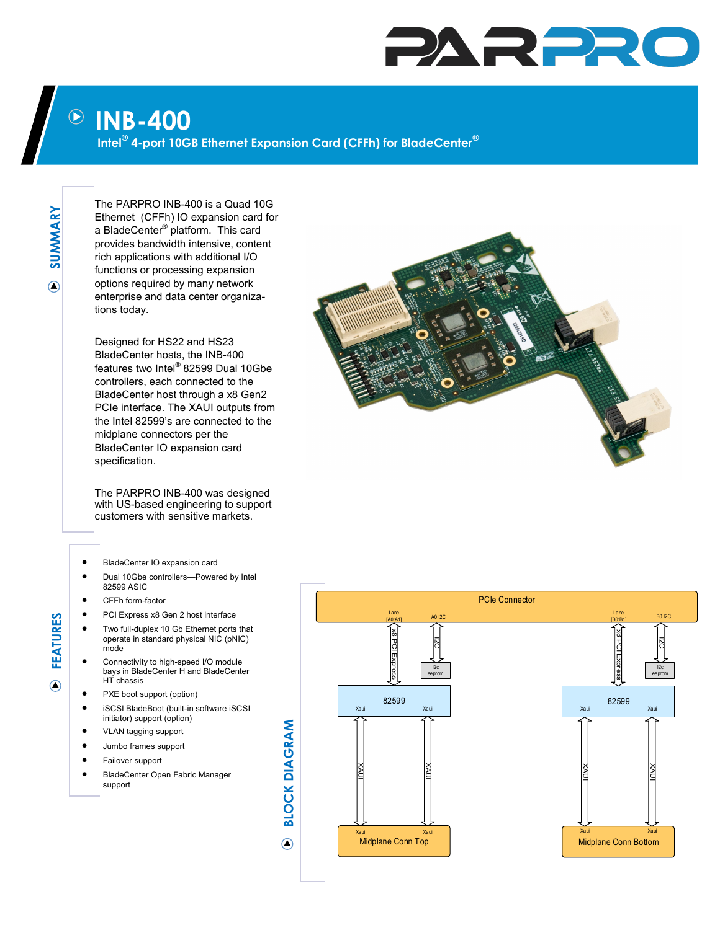## PARPR

## **INB-400**  $\left(\!\!\left.\rule{0pt}{12pt}\right)\!\!\right)$

**Intel® 4-port 10GB Ethernet Expansion Card (CFFh) for BladeCenter®**

**SUMMARY**  $\bigcirc$ 

The PARPRO INB-400 is a Quad 10G Ethernet (CFFh) IO expansion card for a BladeCenter® platform. This card provides bandwidth intensive, content rich applications with additional I/O functions or processing expansion options required by many network enterprise and data center organizations today.

Designed for HS22 and HS23 BladeCenter hosts, the INB-400 features two Intel® 82599 Dual 10Gbe controllers, each connected to the BladeCenter host through a x8 Gen2 PCIe interface. The XAUI outputs from the Intel 82599's are connected to the midplane connectors per the BladeCenter IO expansion card specification.

The PARPRO INB-400 was designed with US-based engineering to support customers with sensitive markets.

- BladeCenter IO expansion card
- Dual 10Gbe controllers—Powered by Intel 82599 ASIC
- CFFh form-factor
- PCI Express x8 Gen 2 host interface
- Two full-duplex 10 Gb Ethernet ports that operate in standard physical NIC (pNIC) mode
- Connectivity to high-speed I/O module bays in BladeCenter H and BladeCenter HT chassis
- PXE boot support (option)
- iSCSI BladeBoot (built-in software iSCSI initiator) support (option)
- VLAN tagging support
- Jumbo frames support
- Failover support
- BladeCenter Open Fabric Manager support



**FEATURES**

 $\overline{\odot}$